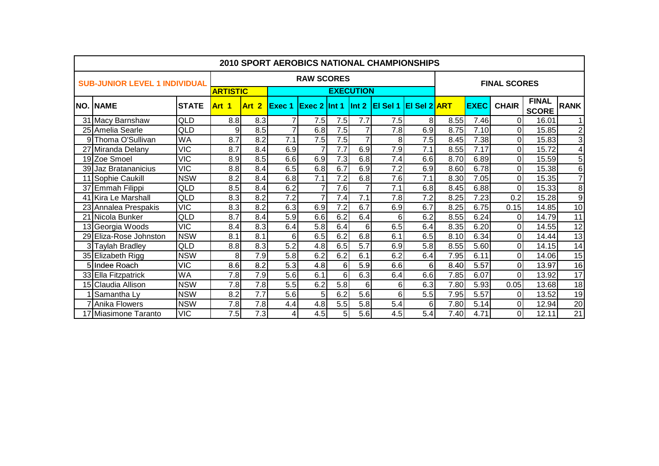| <b>2010 SPORT AEROBICS NATIONAL CHAMPIONSHIPS</b> |              |                 |                  |               |                   |     |                  |                        |                     |      |             |                     |                              |                 |
|---------------------------------------------------|--------------|-----------------|------------------|---------------|-------------------|-----|------------------|------------------------|---------------------|------|-------------|---------------------|------------------------------|-----------------|
| <b>SUB-JUNIOR LEVEL 1 INDIVIDUAL</b>              |              |                 |                  |               | <b>RAW SCORES</b> |     |                  |                        |                     |      |             | <b>FINAL SCORES</b> |                              |                 |
|                                                   |              | <b>ARTISTIC</b> |                  |               |                   |     | <b>EXECUTION</b> |                        |                     |      |             |                     |                              |                 |
| <b>NO. NAME</b>                                   | <b>STATE</b> | Art 1           | Art <sub>2</sub> | <b>Exec 1</b> | $Exec 2$ Int 1    |     |                  | $ $ Int 2 $ $ El Sel 1 | <b>EI Sel 2 ART</b> |      | <b>EXEC</b> | <b>CHAIR</b>        | <b>FINAL</b><br><b>SCORE</b> | <b>RANK</b>     |
| 31 Macy Barnshaw                                  | QLD          | 8.8             | 8.3              | $\mathbf{7}$  | 7.5               | 7.5 | 7.7              | 7.5                    | 8                   | 8.55 | 7.46        | 01                  | 16.01                        | 11              |
| 25 Amelia Searle                                  | QLD          | 9               | 8.5              |               | 6.8               | 7.5 |                  | 7.8                    | 6.9                 | 8.75 | 7.10        | ΩI                  | 15.85                        | $\mathbf{2}$    |
| 9 Thoma O'Sullivan                                | <b>WA</b>    | 8.7             | 8.2              | 7.1           | 7.5               | 7.5 | $\overline{7}$   | 8                      | 7.5                 | 8.45 | 7.38        | ΩI                  | 15.83                        | $\overline{3}$  |
| 27 Miranda Delany                                 | <b>VIC</b>   | 8.7             | 8.4              | 6.9           | 7                 | 7.7 | 6.9              | 7.9                    | 7.1                 | 8.55 | 7.17        | ΟI                  | 15.72                        | $\overline{4}$  |
| 19 Zoe Smoel                                      | VIC          | 8.9             | 8.5              | 6.6           | 6.9               | 7.3 | 6.8              | 7.4                    | 6.6                 | 8.70 | 6.89        | ΩI                  | 15.59                        | 5               |
| 39 Jaz Bratananicius                              | <b>VIC</b>   | 8.8             | 8.4              | 6.5           | 6.8               | 6.7 | 6.9              | 7.2                    | 6.9                 | 8.60 | 6.78        | 0                   | 15.38                        | $\overline{6}$  |
| 11 Sophie Caukill                                 | <b>NSW</b>   | 8.2             | 8.4              | 6.8           | 7.1               | 7.2 | 6.8              | 7.6                    | 7.1                 | 8.30 | 7.05        | ΩI                  | 15.35                        | 7               |
| 37 Emmah Filippi                                  | QLD          | 8.5             | 8.4              | 6.2           | $\overline{7}$    | 7.6 |                  | 7.1                    | 6.8                 | 8.45 | 6.88        | 0                   | 15.33                        | 8               |
| 41 Kira Le Marshall                               | QLD          | 8.3             | 8.2              | 7.2           | $\overline{7}$    | 7.4 | 7.1              | 7.8                    | 7.2                 | 8.25 | 7.23        | 0.2                 | 15.28                        | 9               |
| 23 Annalea Prespakis                              | <b>VIC</b>   | 8.3             | 8.2              | 6.3           | 6.9               | 7.2 | 6.7              | 6.9                    | 6.7                 | 8.25 | 6.75        | 0.15                | 14.85                        | 10              |
| 21 Nicola Bunker                                  | QLD          | 8.7             | 8.4              | 5.9           | 6.6               | 6.2 | 6.4              | 6                      | 6.2                 | 8.55 | 6.24        | 01                  | 14.79                        | 11              |
| 13 Georgia Woods                                  | <b>VIC</b>   | 8.4             | 8.3              | 6.4           | 5.8               | 6.4 | 6                | 6.5                    | 6.4                 | 8.35 | 6.20        | 0                   | 14.55                        | $\overline{12}$ |
| 29 Eliza-Rose Johnston                            | <b>NSW</b>   | 8.1             | 8.1              | 6             | 6.5               | 6.2 | 6.8              | 6.1                    | 6.5                 | 8.10 | 6.34        | 0                   | 14.44                        | $\overline{13}$ |
| 3 Taylah Bradley                                  | QLD          | 8.8             | 8.3              | 5.2           | 4.8               | 6.5 | 5.7              | 6.9                    | 5.8                 | 8.55 | 5.60        | 0                   | 14.15                        | 14              |
| 35 Elizabeth Rigg                                 | <b>NSW</b>   | 8               | 7.9              | 5.8           | 6.2               | 6.2 | 6.1              | 6.2                    | 6.4                 | 7.95 | 6.11        | Οl                  | 14.06                        | 15              |
| 5 Indee Roach                                     | VIC          | 8.6             | 8.2              | 5.3           | 4.8               | 6   | 5.9              | 6.6                    | 6                   | 8.40 | 5.57        | ΩI                  | 13.97                        | $\overline{16}$ |
| 33 Ella Fitzpatrick                               | <b>WA</b>    | 7.8             | 7.9              | 5.6           | 6.1               | 6   | 6.3              | 6.4                    | 6.6                 | 7.85 | 6.07        | ΩI                  | 13.92                        | 17              |
| 15 Claudia Allison                                | <b>NSW</b>   | 7.8             | 7.8              | 5.5           | 6.2               | 5.8 | 6                | 6                      | 6.3                 | 7.80 | 5.93        | 0.05                | 13.68                        | 18              |
| Samantha Ly                                       | <b>NSW</b>   | 8.2             | $\overline{7.7}$ | 5.6           | 5                 | 6.2 | 5.6              | 6                      | 5.5                 | 7.95 | 5.57        | 01                  | 13.52                        | 19              |
| Anika Flowers                                     | <b>NSW</b>   | 7.8             | 7.8              | 4.4           | 4.8               | 5.5 | 5.8              | 5.4                    | 6                   | 7.80 | 5.14        | 01                  | 12.94                        | 20              |
| 17 Miasimone Taranto                              | VIC          | 7.5             | 7.3              | 4             | 4.5               | 5   | 5.6              | 4.5                    | 5.4                 | 7.40 | 4.71        | 01                  | 12.11                        | 21              |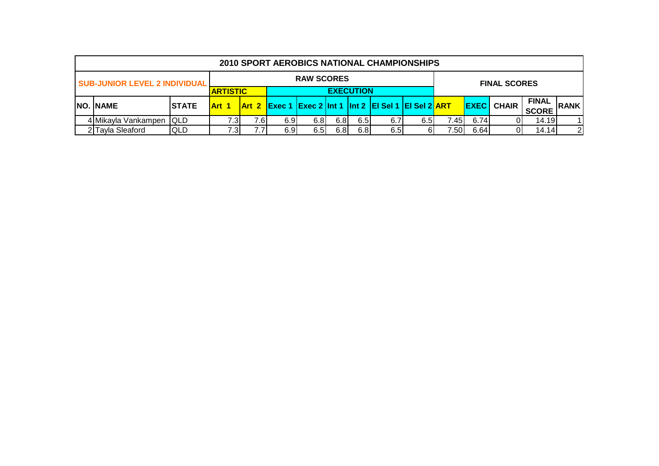| 2010 SPORT AEROBICS NATIONAL CHAMPIONSHIPS |               |                 |      |      |                   |                  |                  |                                                               |     |       |      |                     |                              |                |
|--------------------------------------------|---------------|-----------------|------|------|-------------------|------------------|------------------|---------------------------------------------------------------|-----|-------|------|---------------------|------------------------------|----------------|
| <b>SUB-JUNIOR LEVEL 2 INDIVIDUAL</b>       |               |                 |      |      | <b>RAW SCORES</b> |                  |                  |                                                               |     |       |      | <b>FINAL SCORES</b> |                              |                |
|                                            |               | <b>ARTISTIC</b> |      |      |                   |                  | <b>EXECUTION</b> |                                                               |     |       |      |                     |                              |                |
| <b>NO. NAME</b>                            | <b>ISTATE</b> | <b>Art 1</b>    |      |      |                   |                  |                  | $\vert$ Art 2 Exec 1 Exec 2 Int 1 Int 2 EI SeI 1 EI SeI 2 ART |     |       |      | <b>EXEC</b> CHAIR   | <b>FINAL</b><br><b>SCORE</b> | <b>RANK</b>    |
| 4 Mikayla Vankampen                        | <b>IQLD</b>   | 7.31            | '.6I | 6.91 | 6.81              | 6.8              | 6.5              | 6.7                                                           | 6.5 | 7.45I | 6.74 |                     | 14.19                        |                |
| 2 Tayla Sleaford                           | <b>QLD</b>    |                 |      | 6.91 | 6.5               | 6.8 <sub>1</sub> | 6.8              | 6.5                                                           | 61  | 7.50  | 6.64 |                     | 14.14                        | $\overline{2}$ |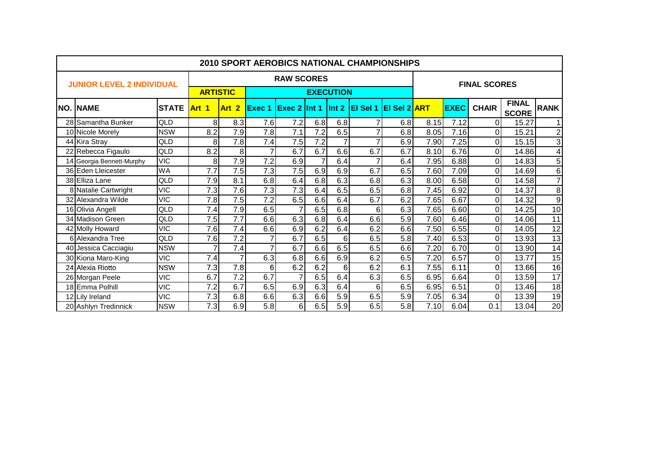|     | <b>2010 SPORT AEROBICS NATIONAL CHAMPIONSHIPS</b> |              |                  |                  |                |                   |                |                  |                                          |                  |      |             |                     |                              |                  |
|-----|---------------------------------------------------|--------------|------------------|------------------|----------------|-------------------|----------------|------------------|------------------------------------------|------------------|------|-------------|---------------------|------------------------------|------------------|
|     | <b>JUNIOR LEVEL 2 INDIVIDUAL</b>                  |              |                  |                  |                | <b>RAW SCORES</b> |                |                  |                                          |                  |      |             | <b>FINAL SCORES</b> |                              |                  |
|     |                                                   |              | <b>ARTISTIC</b>  |                  |                |                   |                | <b>EXECUTION</b> |                                          |                  |      |             |                     |                              |                  |
| NO. | <b>INAME</b>                                      | <b>STATE</b> | Art 1            | Art 2            | <b>Exec 1</b>  |                   |                |                  | Exec 2 Int 1 Int 2 EI Sel 1 EI Sel 2 ART |                  |      | <b>EXEC</b> | <b>CHAIR</b>        | <b>FINAL</b><br><b>SCORE</b> | <b>RANK</b>      |
|     | 28 Samantha Bunker                                | QLD          | 8                | 8.3              | 7.6            | 7.2               | 6.8            | 6.8              |                                          | 6.8              | 8.15 | 7.12        | $\Omega$            | 15.27                        | $\mathbf{1}$     |
|     | 10 Nicole Morely                                  | <b>NSW</b>   | 8.2              | 7.9              | 7.8            | 7.1               | 7.2            | 6.5              |                                          | 6.8              | 8.05 | 7.16        | $\Omega$            | 15.21                        | $\boldsymbol{2}$ |
|     | 44 Kira Stray                                     | QLD          | 8                | 7.8              | 7.4            | 7.5               | 7.2            |                  |                                          | 6.9              | 7.90 | 7.25        | $\Omega$            | 15.15                        | $\overline{3}$   |
|     | 22 Rebecca Figaulo                                | QLD          | 8.2              | 8                |                | 6.7               | 6.7            | 6.6              | 6.7                                      | 6.7              | 8.10 | 6.76        | $\Omega$            | 14.86                        | 4                |
|     | 14 Georgia Bennett-Murphy                         | <b>VIC</b>   | 8                | 7.9              | 7.2            | 6.9               | $\overline{7}$ | 6.4              |                                          | 6.4              | 7.95 | 6.88        | $\Omega$            | 14.83                        | $\overline{5}$   |
|     | 36 Eden Lleicester                                | <b>WA</b>    | $\overline{7.7}$ | 7.5              | 7.3            | 7.5               | 6.9            | 6.9              | 6.7                                      | 6.5              | 7.60 | 7.09        | $\Omega$            | 14.69                        | $\overline{6}$   |
|     | 38 Elliza Lane                                    | QLD          | 7.9              | 8.1              | 6.8            | 6.4               | 6.8            | 6.3              | 6.8                                      | 6.3              | 8.00 | 6.58        | $\Omega$            | 14.58                        | $\overline{7}$   |
|     | 8 Natalie Cartwright                              | <b>VIC</b>   | 7.3              | 7.6              | 7.3            | 7.3               | 6.4            | 6.5              | 6.5                                      | 6.8              | 7.45 | 6.92        | $\Omega$            | 14.37                        | 8                |
|     | 32 Alexandra Wilde                                | <b>VIC</b>   | 7.8              | 7.5              | 7.2            | 6.5               | 6.6            | 6.4              | 6.7                                      | 6.2              | 7.65 | 6.67        | $\Omega$            | 14.32                        | $\boldsymbol{9}$ |
|     | 16 Olivia Angell                                  | QLD          | 7.4              | 7.9              | 6.5            |                   | 6.5            | 6.8              | 6                                        | 6.3              | 7.65 | 6.60        | $\Omega$            | 14.25                        | 10               |
|     | 34 Madison Green                                  | QLD          | 7.5              | $\overline{7.7}$ | 6.6            | 6.3               | 6.8            | 6.4              | 6.6                                      | $\overline{5.9}$ | 7.60 | 6.46        | 0                   | 14.06                        | $\overline{11}$  |
|     | 42 Molly Howard                                   | <b>VIC</b>   | 7.6              | 7.4              | 6.6            | 6.9               | 6.2            | 6.4              | 6.2                                      | 6.6              | 7.50 | 6.55        | $\Omega$            | 14.05                        | $\overline{12}$  |
|     | 6 Alexandra Tree                                  | QLD          | 7.6              | 7.2              | $\overline{7}$ | 6.7               | 6.5            | 6 <sup>1</sup>   | 6.5                                      | 5.8              | 7.40 | 6.53        | $\Omega$            | 13.93                        | $\overline{13}$  |
|     | 40 Jessica Cacciagiu                              | <b>NSW</b>   | 7                | 7.4              |                | 6.7               | 6.6            | 6.5              | 6.5                                      | 6.6              | 7.20 | 6.70        | $\Omega$            | 13.90                        | 14               |
|     | 30 Kiona Maro-King                                | <b>VIC</b>   | 7.4              |                  | 6.3            | 6.8               | 6.6            | 6.9              | 6.2                                      | 6.5              | 7.20 | 6.57        | 0                   | 13.77                        | 15               |
|     | 24 Alexia Riotto                                  | <b>NSW</b>   | 7.3              | $\overline{7.8}$ | 6              | 6.2               | 6.2            | 6 <sup>1</sup>   | 6.2                                      | 6.1              | 7.55 | 6.11        | $\Omega$            | 13.66                        | $\overline{16}$  |
|     | 26 Morgan Peele                                   | <b>VIC</b>   | 6.7              | $\overline{7.2}$ | 6.7            | $\overline{7}$    | 6.5            | 6.4              | 6.3                                      | 6.5              | 6.95 | 6.64        | $\Omega$            | 13.59                        | $\overline{17}$  |
|     | 18 Emma Polhill                                   | <b>VIC</b>   | 7.2              | 6.7              | 6.5            | 6.9               | 6.3            | 6.4              | 6                                        | 6.5              | 6.95 | 6.51        | $\overline{O}$      | 13.46                        | $\overline{18}$  |
|     | 12 Lily Ireland                                   | <b>VIC</b>   | 7.3              | 6.8              | 6.6            | 6.3               | 6.6            | 5.9              | 6.5                                      | 5.9              | 7.05 | 6.34        | $\Omega$            | 13.39                        | 19               |
|     | 20 Ashlyn Tredinnick                              | <b>NSW</b>   | 7.3              | 6.9              | 5.8            | 6                 | 6.5            | 5.9              | 6.5                                      | 5.8              | 7.10 | 6.04        | 0.1                 | 13.04                        | 20               |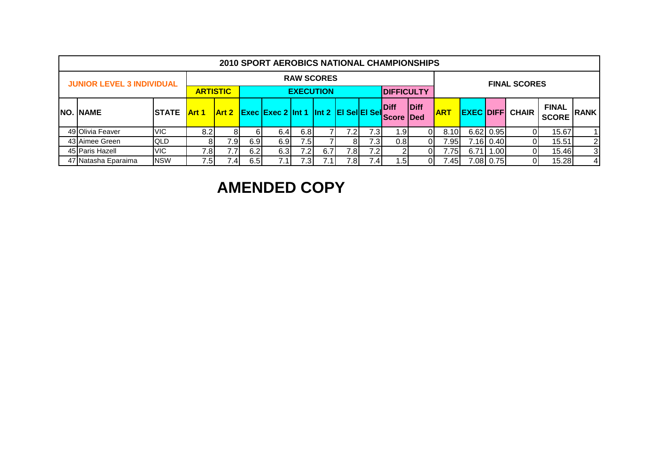| <b>2010 SPORT AEROBICS NATIONAL CHAMPIONSHIPS</b> |               |              |                 |     |                                         |                   |     |     |                  |                             |                            |            |      |           |                        |                              |                 |
|---------------------------------------------------|---------------|--------------|-----------------|-----|-----------------------------------------|-------------------|-----|-----|------------------|-----------------------------|----------------------------|------------|------|-----------|------------------------|------------------------------|-----------------|
| <b>JUNIOR LEVEL 3 INDIVIDUAL</b>                  |               |              |                 |     |                                         | <b>RAW SCORES</b> |     |     |                  |                             |                            |            |      |           | <b>FINAL SCORES</b>    |                              |                 |
|                                                   |               |              | <b>ARTISTIC</b> |     |                                         | <b>EXECUTION</b>  |     |     |                  | <b>DIFFICULTY</b>           |                            |            |      |           |                        |                              |                 |
| <b>NO. NAME</b>                                   | <b>ISTATE</b> | <b>Art 1</b> | Art 2           |     | Exec Exec 2 Int 1 Int 2 El Sel El Sel j |                   |     |     |                  | <b>Diff</b><br><b>Score</b> | <b>Diff</b><br><b>IDed</b> | <b>ART</b> |      |           | <b>EXEC DIFF CHAIR</b> | <b>FINAL</b><br><b>SCORE</b> | <b>RANK</b>     |
| 49 Olivia Feaver                                  | <b>VIC</b>    | 8.2          | 8               | 61  | 6.41                                    | 6.8               |     | 7.2 | 7.3 <sub>1</sub> | ا 9. ،                      | ור                         | 8.10       |      | 6.62 0.95 |                        | 15.67                        | 11              |
| 43 Aimee Green                                    | <b>QLD</b>    |              | 7.9I            | 6.9 | 6.9                                     | 7.5               |     | 8   | 7.31             | 0.8                         |                            | 7.95       |      | 7.16 0.40 |                        | 15.51                        | $\mathbf{2}$    |
| 45 Paris Hazell                                   | <b>VIC</b>    | 7.8          | 7.7             | 6.2 | 6.3                                     | 7.2               | 6.7 | 7.8 | 7.2              |                             |                            | 7.75       | 6.71 | 1.00      |                        | 15.46                        | 3               |
| 47 Natasha Eparaima                               | <b>NSW</b>    | 7.5          | 7.4.            | 6.5 |                                         | 7.3               |     | 7.8 |                  | . .51                       | D.                         | 7.45       |      | 7.08 0.75 |                        | 15.28                        | $\vert 4 \vert$ |

# **AMENDED COPY**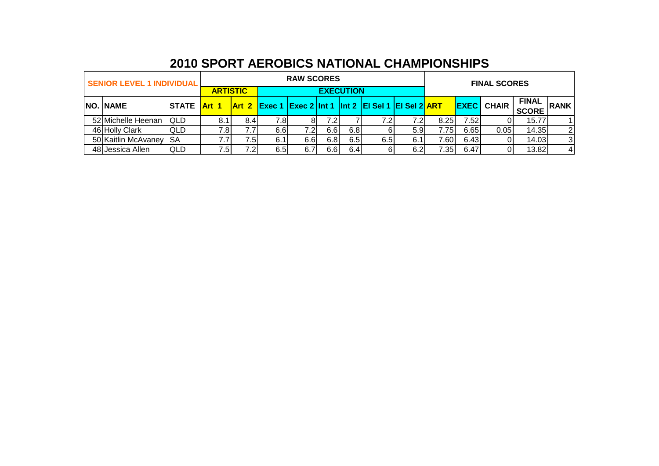| <b>SENIOR LEVEL 1 INDIVIDUAL</b> |                           |                 |      |      | <b>RAW SCORES</b> |      |                  |                                                               |     |       |       | <b>FINAL SCORES</b> |                              |                |
|----------------------------------|---------------------------|-----------------|------|------|-------------------|------|------------------|---------------------------------------------------------------|-----|-------|-------|---------------------|------------------------------|----------------|
|                                  |                           | <b>ARTISTIC</b> |      |      |                   |      | <b>EXECUTION</b> |                                                               |     |       |       |                     |                              |                |
| <b>NO. NAME</b>                  | ISTATE <mark>Art 1</mark> |                 |      |      |                   |      |                  | $\vert$ Art 2 Exec 1 Exec 2 Int 1 Int 2 EI Sel 1 EI Sel 2 ART |     |       |       | <b>EXEC</b> CHAIR   | <b>FINAL</b><br><b>SCORE</b> | <b>RANK</b>    |
| 52 Michelle Heenan               | <b>QLD</b>                |                 | 8.4I | 7.81 |                   | 7.2I |                  | 7.2                                                           |     | 8.25I | 7.521 |                     | 15.77                        |                |
| 46 Holly Clark                   | <b>QLD</b>                | 7.8I            |      | 6.6  | 7.2I              | 6.6I | 6.8              |                                                               | 5.9 | .751  | 6.65  | 0.05                | 14.35                        | $\overline{2}$ |
| 50 Kaitlin McAvaney              | ISA                       |                 | 7.51 | 6.1  | 6.61              | 6.81 | 6.5              | 6.5                                                           | 6.1 | 106.` | 6.43  |                     | 14.03                        | 3              |
| 48 Jessica Allen                 | <b>QLD</b>                | 7.51            | 7.2  | 6.5  | 6.7               | 6.6I | 6.4              |                                                               | 6.2 | ′.35I | 6.47  |                     | 13.82                        | $\overline{4}$ |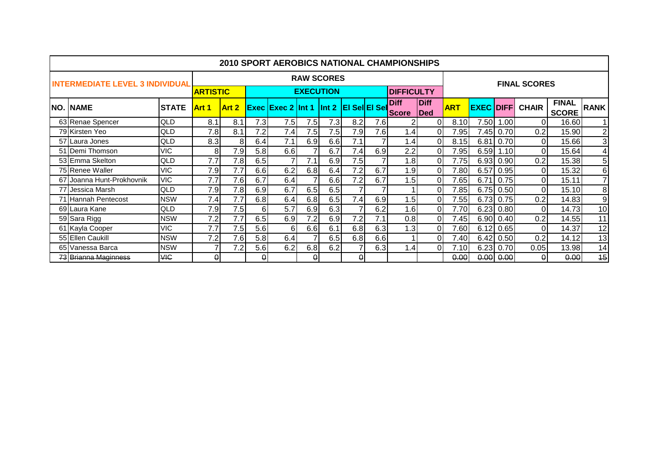|                                        |              |                 |                  |     | <b>2010 SPORT AEROBICS NATIONAL CHAMPIONSHIPS</b> |                   |                    |                      |     |                      |                    |            |                  |      |                     |                              |                 |
|----------------------------------------|--------------|-----------------|------------------|-----|---------------------------------------------------|-------------------|--------------------|----------------------|-----|----------------------|--------------------|------------|------------------|------|---------------------|------------------------------|-----------------|
| <b>INTERMEDIATE LEVEL 3 INDIVIDUAL</b> |              |                 |                  |     |                                                   | <b>RAW SCORES</b> |                    |                      |     |                      |                    |            |                  |      | <b>FINAL SCORES</b> |                              |                 |
|                                        |              | <b>ARTISTIC</b> |                  |     |                                                   | <b>EXECUTION</b>  |                    |                      |     | <b>DIFFICULTY</b>    |                    |            |                  |      |                     |                              |                 |
| <b>NO. NAME</b>                        | <b>STATE</b> | Art 1           | Art 2            |     | <b>Exec Exec 2 Int 1</b>                          |                   | $\mathsf{I}$ Int 2 | <b>EI Sel EI Sel</b> |     | <b>Diff</b><br>Score | <b>Diff</b><br>Ded | <b>ART</b> | <b>EXEC DIFF</b> |      | <b>CHAIR</b>        | <b>FINAL</b><br><b>SCORE</b> | <b>RANK</b>     |
| 63 Renae Spencer                       | <b>QLD</b>   | 8.1             | 8.1              | 7.3 | 7.5                                               | 7.5               | 7.3 <sub>1</sub>   | 8.2                  | 7.6 |                      |                    | 8.10       | 7.50             | .00  | $\Omega$            | 16.60                        | 1               |
| 79 Kirsten Yeo                         | <b>QLD</b>   | 7.8             | 8.1              | 7.2 | 7.4                                               | 7.5               | 7.5                | 7.9                  | 7.6 | 1.4.                 | $\Omega$           | 7.95       | 7.45             | 0.70 | 0.2                 | 15.90                        | $\overline{2}$  |
| 57 Laura Jones                         | <b>QLD</b>   | 8.3             | 8                | 6.4 | 7.1                                               | 6.9               | 6.6                | 7.1                  |     | 1.4                  | $\Omega$           | 8.15       | 6.81             | 0.70 | $\Omega$            | 15.66                        | 3               |
| 51 Demi Thomson                        | <b>VIC</b>   | 8               | 7.9              | 5.8 | 6.6                                               |                   | 6.7                | 7.4                  | 6.9 | 2.2                  | $\Omega$           | 7.95       | 6.59             | 1.10 | $\Omega$            | 15.64                        | $\overline{4}$  |
| 53 Emma Skelton                        | <b>QLD</b>   | 7.7             | 7.8              | 6.5 |                                                   | 7.1               | 6.9                | 7.5                  |     | 1.8                  | $\Omega$           | 7.75       | 6.93             | 0.90 | 0.2                 | 15.38                        | $5\phantom{.0}$ |
| 75 Renee Waller                        | <b>VIC</b>   | 7.9             | 7.7              | 6.6 | 6.2                                               | 6.8               | 6.4                | 7.2                  | 6.7 | 1.9                  | $\Omega$           | 7.80       | 6.57             | 0.95 | $\Omega$            | 15.32                        | $6 \,$          |
| 67 Joanna Hunt-Prokhovnik              | <b>VIC</b>   | 7.7             | 7.6              | 6.7 | 6.4                                               |                   | 6.6                | 7.2                  | 6.7 | 1.5                  | $\Omega$           | 7.65       | 6.71             | 0.75 | ΩI                  | 15.11                        | $\overline{7}$  |
| 77 Jessica Marsh                       | <b>QLD</b>   | 7.9             | $7.\overline{8}$ | 6.9 | 6.7                                               | 6.5               | 6.5                |                      |     |                      | $\Omega$           | 7.85       | 6.75             | 0.50 | ΩI                  | 15.10                        | 8               |
| 71 Hannah Pentecost                    | <b>NSW</b>   | 7.4             | 7.7              | 6.8 | 6.4                                               | 6.8               | 6.5                | 7.4                  | 6.9 | 1.5                  | $\Omega$           | 7.55       | 6.73             | 0.75 | 0.2                 | 14.83                        | $\overline{9}$  |
| 69 Laura Kane                          | <b>QLD</b>   | 7.9             | 7.5              | 6   | 5.7                                               | 6.9               | 6.3                |                      | 6.2 | 1.6                  | $\Omega$           | 7.70       | 6.23             | 0.80 | $\Omega$            | 14.73                        | 10              |
| 59 Sara Rigg                           | <b>NSW</b>   | 7.2             | 7.7              | 6.5 | 6.9                                               | 7.2               | 6.9                | 7.2                  | 7.1 | 0.8                  | $\Omega$           | 7.45       | 6.90             | 0.40 | 0.2                 | 14.55                        | 11              |
| 61 Kayla Cooper                        | <b>VIC</b>   | 7.7             | 7.5              | 5.6 | 6                                                 | 6.6               | 6.1                | 6.8                  | 6.3 | 1.3                  | $\Omega$           | 7.60       | 6.12             | 0.65 | $\Omega$            | 14.37                        | 12              |
| 55 Ellen Caukill                       | <b>NSW</b>   | 7.2             | 7.6              | 5.8 | 6.4                                               |                   | 6.5                | 6.8                  | 6.6 |                      | $\Omega$           | 7.40       | 6.42             | 0.50 | 0.2                 | 14.12                        | 13              |
| 65 Vanessa Barca                       | <b>NSW</b>   | $\overline{7}$  | 7.2              | 5.6 | 6.2                                               | 6.8               | 6.2                |                      | 6.3 | 1.4                  | $\Omega$           | 7.10       | 6.23             | 0.70 | 0.05                | 13.98                        | 14              |
| 73 Brianna Maginness                   | <b>VIC</b>   | $\theta$        |                  |     |                                                   | $\theta$          |                    | $\theta$             |     |                      |                    | 0.00       | 0.00             | 0.00 | $\theta$            | 0.00                         | 15 <sub>1</sub> |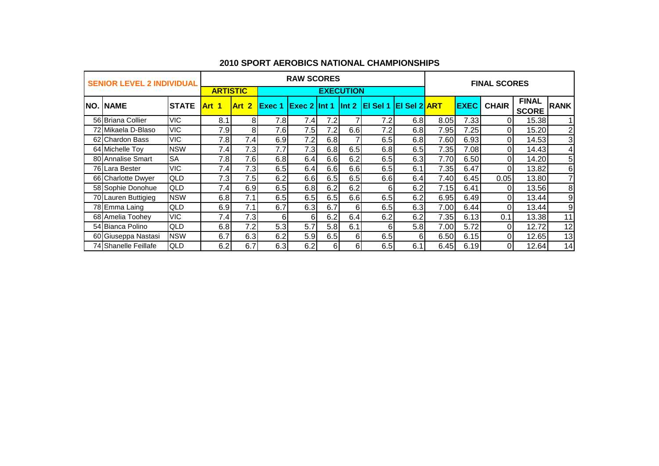|     | <b>SENIOR LEVEL 2 INDIVIDUAL</b> |              |                 |       |               | <b>RAW SCORES</b> |          |                  |                               |     |      |             | <b>FINAL SCORES</b> |                              |                 |
|-----|----------------------------------|--------------|-----------------|-------|---------------|-------------------|----------|------------------|-------------------------------|-----|------|-------------|---------------------|------------------------------|-----------------|
|     |                                  |              | <b>ARTISTIC</b> |       |               |                   |          | <b>EXECUTION</b> |                               |     |      |             |                     |                              |                 |
| NO. | <b>INAME</b>                     | <b>STATE</b> | <b>Art</b> 1    | Art 2 | <b>Exec 1</b> | $Exec 2$ Int 1    |          |                  | $\ln 2$ El Sel 1 El Sel 2 ART |     |      | <b>EXEC</b> | <b>CHAIR</b>        | <b>FINAL</b><br><b>SCORE</b> | <b>RANK</b>     |
|     | 56 Briana Collier                | <b>VIC</b>   | 8.1             | 81    | 7.8           | 7.4               | 7.2      |                  | 7.2                           | 6.8 | 8.05 | 7.33        |                     | 15.38                        | 1               |
|     | 72 Mikaela D-Blaso               | <b>VIC</b>   | 7.9             | 8     | 7.6           | 7.5               | 7.2      | 6.6              | 7.2                           | 6.8 | 7.95 | 7.25        | ΩI                  | 15.20                        | $\overline{2}$  |
|     | 62 Chardon Bass                  | <b>VIC</b>   | 7.8             | 7.4   | 6.9           | 7.2               | 6.8      |                  | 6.5                           | 6.8 | 7.60 | 6.93        |                     | 14.53                        | 3 <sup>1</sup>  |
|     | 64 Michelle Toy                  | <b>NSW</b>   | 7.4             | 7.3   | 7.7           | 7.3               | 6.8      | 6.5              | 6.8                           | 6.5 | 7.35 | 7.08        | ΩI                  | 14.43                        | $\overline{4}$  |
|     | 80 Annalise Smart                | <b>SA</b>    | 7.8             | 7.6   | 6.8           | 6.4               | 6.6      | 6.2              | 6.5                           | 6.3 | 7.70 | 6.50        | ΩI                  | 14.20                        | 5 <sub>l</sub>  |
|     | 76 Lara Bester                   | <b>VIC</b>   | 7.4             | 7.3   | 6.5           | 6.4               | 6.6      | 6.6              | 6.5                           | 6.1 | 7.35 | 6.47        | ΩI                  | 13.82                        | 6               |
|     | 66 Charlotte Dwyer               | QLD          | 7.3             | 7.5   | 6.2           | 6.6               | 6.5      | 6.5              | 6.6                           | 6.4 | 7.40 | 6.45        | 0.05                | 13.80                        | 7               |
|     | 58 Sophie Donohue                | QLD          | 7.4             | 6.9   | 6.5           | 6.8               | 6.2      | 6.2              | 6                             | 6.2 | 7.15 | 6.41        | ΩI                  | 13.56                        | 8               |
|     | 70 Lauren Buttigieg              | <b>NSW</b>   | 6.8             | 7.1   | 6.5           | 6.5               | 6.5      | 6.6              | 6.5                           | 6.2 | 6.95 | 6.49        | ΩI                  | 13.44                        | 9               |
|     | 78 Emma Laing                    | QLD          | 6.9             | 7.1   | 6.7           | 6.3               | 6.7      | 6                | 6.5                           | 6.3 | 7.00 | 6.44        |                     | 13.44                        | 9               |
|     | 68 Amelia Toohey                 | <b>VIC</b>   | 7.4             | 7.3   | 6             | 61                | 6.2      | 6.4              | 6.2                           | 6.2 | 7.35 | 6.13        | 0.1                 | 13.38                        | 11              |
|     | 54 Bianca Polino                 | <b>QLD</b>   | 6.8             | 7.2   | 5.3           | 5.7               | 5.8      | 6.1              | 6                             | 5.8 | 7.00 | 5.72        | $\Omega$            | 12.72                        | 12              |
|     | 60 Giuseppa Nastasi              | <b>NSW</b>   | 6.7             | 6.3   | 6.2           | 5.9               | 6.5      | 6                | 6.5                           | 6   | 6.50 | 6.15        | ΩI                  | 12.65                        | 13 <sub>1</sub> |
|     | 74 Shanelle Feillafe             | QLD          | 6.2             | 6.7   | 6.3           | 6.2               | $6 \mid$ | 6                | 6.5                           | 6.1 | 6.45 | 6.19        |                     | 12.64                        | 14 <sub>1</sub> |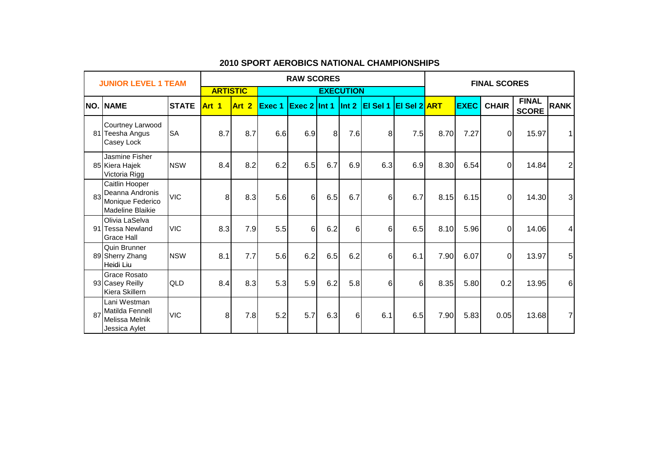|    | <b>JUNIOR LEVEL 1 TEAM</b>                                                       |              |                 |                  |               | <b>RAW SCORES</b> |                |                  |                 |                 |      |             | <b>FINAL SCORES</b> |                              |                |
|----|----------------------------------------------------------------------------------|--------------|-----------------|------------------|---------------|-------------------|----------------|------------------|-----------------|-----------------|------|-------------|---------------------|------------------------------|----------------|
|    |                                                                                  |              | <b>ARTISTIC</b> |                  |               |                   |                | <b>EXECUTION</b> |                 |                 |      |             |                     |                              |                |
|    | <b>NO. NAME</b>                                                                  | <b>STATE</b> | Art 1           | Art <sub>2</sub> | <b>Exec 1</b> | Exec 2 Int 1      |                | $\ln t$ 2        | <b>El Sel 1</b> | $ E $ Sel 2 ART |      | <b>EXEC</b> | <b>CHAIR</b>        | <b>FINAL</b><br><b>SCORE</b> | <b>RANK</b>    |
|    | Courtney Larwood<br>81 Teesha Angus<br>Casey Lock                                | <b>SA</b>    | 8.7             | 8.7              | 6.6           | 6.9               | 8 <sup>1</sup> | 7.6              | 8               | 7.5             | 8.70 | 7.27        | $\Omega$            | 15.97                        | 1 <sup>1</sup> |
|    | Jasmine Fisher<br>85 Kiera Hajek<br>Victoria Rigg                                | <b>NSW</b>   | 8.4             | 8.2              | 6.2           | 6.5               | 6.7            | 6.9              | 6.3             | 6.9             | 8.30 | 6.54        | $\Omega$            | 14.84                        | $2\vert$       |
| 83 | Caitlin Hooper<br>Deanna Andronis<br>Monique Federico<br><b>Madeline Blaikie</b> | <b>VIC</b>   | 8               | 8.3              | 5.6           | 6                 | 6.5            | 6.7              | 6               | 6.7             | 8.15 | 6.15        | $\Omega$            | 14.30                        | 3 <sup>1</sup> |
|    | Olivia LaSelva<br>91 Tessa Newland<br><b>Grace Hall</b>                          | <b>VIC</b>   | 8.3             | 7.9              | 5.5           | 6 <sup>1</sup>    | 6.2            | 6                | 6               | 6.5             | 8.10 | 5.96        | $\Omega$            | 14.06                        | $\overline{4}$ |
|    | Quin Brunner<br>89 Sherry Zhang<br>Heidi Liu                                     | <b>NSW</b>   | 8.1             | 7.7              | 5.6           | 6.2               | 6.5            | 6.2              | 6               | 6.1             | 7.90 | 6.07        | $\Omega$            | 13.97                        | 5 <sup>1</sup> |
|    | <b>Grace Rosato</b><br>93 Casey Reilly<br>Kiera Skillern                         | <b>QLD</b>   | 8.4             | 8.3              | 5.3           | 5.9               | 6.2            | 5.8              | 6               | 6               | 8.35 | 5.80        | 0.2                 | 13.95                        | 6              |
| 87 | Lani Westman<br>Matilda Fennell<br>Melissa Melnik<br>Jessica Aylet               | <b>VIC</b>   | 8               | 7.8              | 5.2           | 5.7               | 6.3            | 6                | 6.1             | 6.5             | 7.90 | 5.83        | 0.05                | 13.68                        | 7 <sup>1</sup> |